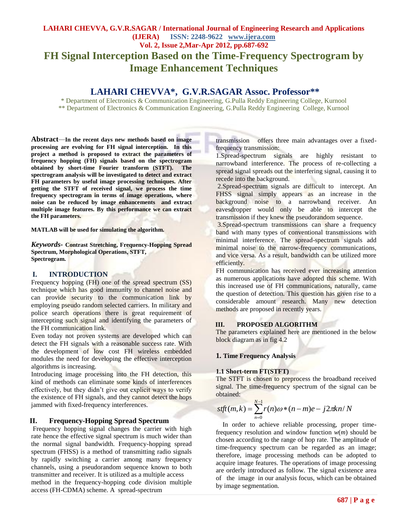# **LAHARI CHEVVA, G.V.R.SAGAR / International Journal of Engineering Research and Applications (IJERA) ISSN: 2248-9622 www.ijera.com Vol. 2, Issue 2,Mar-Apr 2012, pp.687-692 FH Signal Interception Based on the Time-Frequency Spectrogram by Image Enhancement Techniques**

# **LAHARI CHEVVA\* , G.V.R.SAGAR Assoc. Professor\*\***

\* Department of Electronics & Communication Engineering, G.Pulla Reddy Engineering College, Kurnool \*\* Department of Electronics & Communication Engineering, G.Pulla Reddy Engineering College, Kurnool

**Abstract***—***In the recent days new methods based on image processing are evolving for FH signal interception. In this project a method is proposed to extract the parameters of frequency hopping (FH) signals based on the spectrogram obtained by short-time Fourier transform (STFT). The spectrogram analysis will be investigated to detect and extract FH parameters by useful image processing techniques. After getting the STFT of received signal, we process the time frequency spectrogram in terms of image operations, where noise can be reduced by image enhancements and extract multiple image features. By this performance we can extract the FH parameters.**

**MATLAB will be used for simulating the algorithm.**

*Keywords-* **Contrast Stretching, Frequency-Hopping Spread Spectrum, Morphological Operations, STFT, Spectrogram.**

# **I. INTRODUCTION**

Frequency hopping (FH) one of the spread spectrum (SS) technique which has good immunity to channel noise and can provide security to the communication link by employing pseudo random selected carriers. In military and police search operations there is great requirement of intercepting such signal and identifying the parameters of the FH communication link.

Even today not proven systems are developed which can detect the FH signals with a reasonable success rate. With the development of low cost FH wireless embedded modules the need for developing the effective interception algorithms is increasing.

Introducing image processing into the FH detection, this kind of methods can eliminate some kinds of interferences effectively, but they didn't give out explicit ways to verify the existence of FH signals, and they cannot detect the hops jammed with fixed-frequency interferences.

#### **II. Frequency-Hopping Spread Spectrum**

Frequency hopping signal changes the carrier with high rate hence the effective signal spectrum is much wider than the normal signal bandwidth. Frequency-hopping spread spectrum (FHSS) is a method of transmitting radio signals by rapidly switching a carrier among many frequency channels, using a pseudorandom sequence known to both transmitter and receiver. It is utilized as a multiple access method in the frequency-hopping code division multiple access (FH-CDMA) scheme. A spread-spectrum

transmission offers three main advantages over a fixedfrequency transmission:

1.Spread-spectrum signals are highly resistant to narrowband interference. The process of re-collecting a spread signal spreads out the interfering signal, causing it to recede into the background.

2.Spread-spectrum signals are difficult to intercept. An FHSS signal simply appears as an increase in the background noise to a narrowband receiver. An eavesdropper would only be able to intercept the transmission if they knew the pseudorandom sequence.

3.Spread-spectrum transmissions can share a frequency band with many types of conventional transmissions with minimal interference. The spread-spectrum signals add minimal noise to the narrow-frequency communications, and vice versa. As a result, bandwidth can be utilized more efficiently.

FH communication has received ever increasing attention as numerous applications have adopted this scheme. With this increased use of FH communications, naturally, came the question of detection. This question has given rise to a considerable amount research. Many new detection methods are proposed in recently years.

# **III. PROPOSED ALGORITHM**

The parameters explained here are mentioned in the below block diagram as in fig 4.2

#### **1. Time Frequency Analysis**

#### **1.1 Short-term FT(STFT)**

The STFT is chosen to preprocess the broadband received signal. The time-frequency spectrum of the signal can be obtained:

$$
stft(m,k) = \sum_{n=0}^{N-1} r(n)\omega * (n-m)e - j2\pi kn/N
$$

 In order to achieve reliable processing, proper timefrequency resolution and window function *w*(*m*) should be chosen according to the range of hop rate. The amplitude of time-frequency spectrum can be regarded as an image; therefore, image processing methods can be adopted to acquire image features. The operations of image processing are orderly introduced as follow. The signal existence area of the image in our analysis focus, which can be obtained by image segmentation.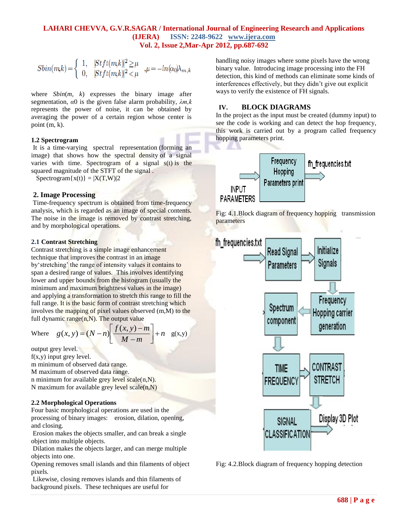$$
Sbin(mk) \!=\! \left\{\begin{array}{ll} 1, & \!\! \mid \! \! \! S t f t(mk) \! \mid^2 \! \geq \! \mu \\ 0, & \!\! \! \mid \! \! S t f t(mk) \! \mid^2 \! < \! \mu \end{array} \right. \! , \! \mu \!=\! -ln(\alpha_0) \! \lambda_{m,k}
$$

where *Sbin*(*m, k*) expresses the binary image after segmentation, *α*0 is the given false alarm probability, *λm,k*  represents the power of noise, it can be obtained by averaging the power of a certain region whose center is point (m, k).

#### **1.2 Spectrogram**

It is a time-varying spectral representation (forming an image) that shows how the spectral density of a signal varies with time. Spectrogram of a signal  $s(t)$  is the squared magnitude of the STFT of the signal .

 $Spectrogram{x(t)} = |X(T,W)|2$ 

#### **2. Image Processing**

Time-frequency spectrum is obtained from time-frequency analysis, which is regarded as an image of special contents. The noise in the image is removed by contrast stretching, and by morphological operations.

#### **2.1 Contrast Stretching**

Contrast stretching is a simple image enhancement technique that improves the contrast in an image by'stretching' the range of intensity values it contains to span a desired range of values.This involves identifying lower and upper bounds from the histogram (usually the minimum and maximum brightness values in the image) and applying a transformation to stretch this range to fill the full range. It is the basic form of contrast stretching which involves the mapping of pixel values observed (m,M) to the full dynamic range $(n,N)$ . The output value

> $\overline{\phantom{a}}$ L

*M m*

 $\overline{\phantom{0}}$  $(x, y) = (N-n) \left[ \frac{f(x, y) - m}{L} \right] + n \frac{g(x, y)}{L}$ 

*n*

 $\overline{\phantom{a}}$ 

 $g(x, y) = (N-n) \left[ \frac{f(x, y) - m}{M-m} \right] +$ output grey level.

Where

 $f(x,y)$  input grey level.

m minimum of observed data range.

M maximum of observed data range.

n minimum for available grey level scale $(n,N)$ .

N maximum for available grey level  $scale(n,N)$ 

#### **2.2 Morphological Operations**

Four basic morphological operations are used in the processing of binary images: erosion, dilation, opening, and closing.

Erosion makes the objects smaller, and can break a single object into multiple objects.

Dilation makes the objects larger, and can merge multiple objects into one.

Opening removes small islands and thin filaments of object pixels*.*

Likewise, closing removes islands and thin filaments of background pixels. These techniques are useful for

handling noisy images where some pixels have the wrong binary value. Introducing image processing into the FH detection, this kind of methods can eliminate some kinds of interferences effectively, but they didn't give out explicit ways to verify the existence of FH signals.

### **IV. BLOCK DIAGRAMS**

In the project as the input must be created (dummy input) to see the code is working and can detect the hop frequency, this work is carried out by a program called frequency hopping parameters print.







Fig: 4.2.Block diagram of frequency hopping detection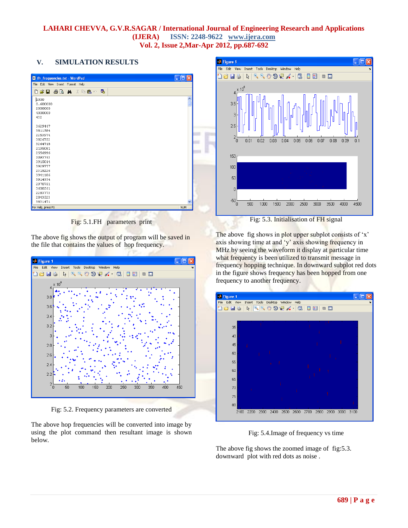# **V. SIMULATION RESULTS**

| File Edit View Insert Format Help |               |
|-----------------------------------|---------------|
| D # 5 & Q A & D & O &             |               |
| 1000                              | $\frac{1}{2}$ |
| 0.600000                          |               |
| 2000000                           |               |
| 4000000                           |               |
| 432                               |               |
| 3629447                           |               |
| 3811584                           |               |
| 2253974                           |               |
| 3826752                           |               |
| 3264718                           |               |
| 2195081                           |               |
| 2556996                           |               |
| 3093763                           |               |
| 3915014                           |               |
| 3929777                           |               |
| 2315226                           |               |
| 3941186                           |               |
| 3914334                           |               |
| 2970751                           |               |
| 3600561                           |               |
| 2283773                           |               |
| 2843523                           |               |
| 3831471                           |               |
| For Help, press F1                | NUM           |

Fig: 5.1.FH parameters print

The above fig shows the output of program will be saved in the file that contains the values of hop frequency.



Fig: 5.2. Frequency parameters are converted

The above hop frequencies will be converted into image by using the plot command then resultant image is shown below.



Fig: 5.3. Initialisation of FH signal

The above fig shows in plot upper subplot consists of 'x' axis showing time at and 'y' axis showing frequency in MHz by seeing the waveform it display at particular time what frequency is been utilized to transmit message in frequency hopping technique. In downward subplot red dots in the figure shows frequency has been hopped from one frequency to another frequency.

| <b>X</b> Figure 1 |      |              |                                  |                      |              |
|-------------------|------|--------------|----------------------------------|----------------------|--------------|
| File Edit View    |      |              | Insert Tools Desktop Window Help |                      | ъ            |
| 16 E 5 D          |      |              |                                  |                      |              |
|                   |      |              |                                  |                      |              |
|                   |      |              |                                  |                      |              |
| 35                |      |              |                                  |                      |              |
| 40                |      |              |                                  |                      |              |
| 45                |      |              |                                  |                      |              |
|                   |      |              |                                  |                      |              |
| 50                |      |              |                                  |                      |              |
| 55                |      | ï            |                                  |                      |              |
| 60                |      |              |                                  |                      |              |
|                   |      |              |                                  |                      |              |
| 65                |      |              |                                  |                      |              |
| 70                |      |              |                                  |                      |              |
| 75                |      |              |                                  |                      |              |
|                   |      |              |                                  |                      |              |
| 80                |      |              |                                  |                      |              |
| 2100              | 2200 | 2300<br>2400 | 2600<br>2500                     | 2700<br>2800<br>2900 | 3000<br>3100 |
|                   |      |              |                                  |                      |              |

Fig: 5.4.Image of frequency vs time

The above fig shows the zoomed image of fig:5.3. downward plot with red dots as noise .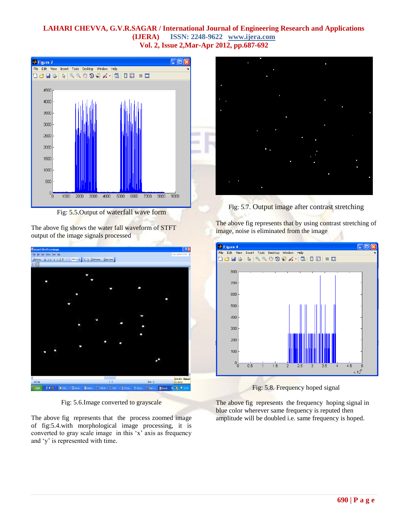

Fig: 5.5.Output of waterfall wave form

The above fig shows the water fall waveform of STFT output of the image signals processed



Fig: 5.6.Image converted to grayscale

The above fig represents that the process zoomed image of fig:5.4.with morphological image processing, it is converted to gray scale image in this 'x' axis as frequency and 'y' is represented with time.



Fig: 5.7. Output image after contrast stretching

The above fig represents that by using contrast stretching of image, noise is eliminated from the image



Fig: 5.8. Frequency hoped signal

The above fig represents the frequency hoping signal in blue color wherever same frequency is reputed then amplitude will be doubled i.e. same frequency is hoped.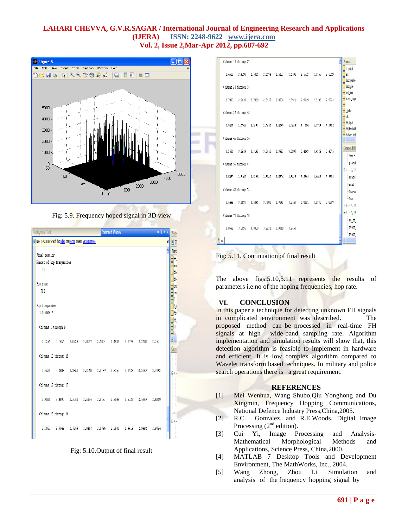



|                                                                          | <b>Deployment Tool</b>    |                                                                        |  |  |  | <b>Command Window</b> |  |  | $\overline{A}$ $\overline{B}$ $\overline{B}$ $\overline{B}$ |   | Work                 |
|--------------------------------------------------------------------------|---------------------------|------------------------------------------------------------------------|--|--|--|-----------------------|--|--|-------------------------------------------------------------|---|----------------------|
| (1) New to MATLAB? Watch this Video, see Demos, or read Getting Started. |                           |                                                                        |  |  |  |                       |  |  |                                                             | X | ۹ē                   |
|                                                                          |                           |                                                                        |  |  |  |                       |  |  |                                                             |   | Name                 |
|                                                                          | Final results             |                                                                        |  |  |  |                       |  |  |                                                             |   | ⊞ஈ.                  |
|                                                                          | Number of hop frequencies |                                                                        |  |  |  |                       |  |  |                                                             |   | $\mathbb H$ ans      |
|                                                                          | 78                        |                                                                        |  |  |  |                       |  |  |                                                             |   | $\mathsf{H}$ blo     |
|                                                                          |                           |                                                                        |  |  |  |                       |  |  |                                                             |   | $\mathbb{H}$ blo     |
|                                                                          | Hop rate                  |                                                                        |  |  |  |                       |  |  |                                                             |   | $\mathbb H$ end      |
|                                                                          | 780                       |                                                                        |  |  |  |                       |  |  |                                                             |   | Hero                 |
|                                                                          | Hop frequncies            |                                                                        |  |  |  |                       |  |  |                                                             |   | Ūf.                  |
|                                                                          | 1.0e+006 *                |                                                                        |  |  |  |                       |  |  |                                                             |   | Đ<br>H               |
|                                                                          |                           |                                                                        |  |  |  |                       |  |  |                                                             |   | ⊞A.                  |
|                                                                          |                           | Columns 1 through 9                                                    |  |  |  |                       |  |  |                                                             |   | ⊞A.                  |
|                                                                          |                           |                                                                        |  |  |  |                       |  |  |                                                             |   | ⊞Ѧ                   |
|                                                                          |                           | 2.0251  2.0654  2.0728  2.0947  2.1094  2.1533  2.1973  2.2400  2.2571 |  |  |  |                       |  |  |                                                             |   | $\overline{\langle}$ |
|                                                                          |                           |                                                                        |  |  |  |                       |  |  |                                                             |   | Comr                 |
|                                                                          |                           | Columns 10 through 18                                                  |  |  |  |                       |  |  |                                                             |   |                      |
|                                                                          |                           |                                                                        |  |  |  |                       |  |  |                                                             |   |                      |
|                                                                          |                           | 2.2620 2.2803 2.2852 2.3010 2.3169 2.3267 2.3438 2.3767 2.3962         |  |  |  |                       |  |  |                                                             |   | Ė₹.                  |
|                                                                          |                           |                                                                        |  |  |  |                       |  |  |                                                             |   |                      |
|                                                                          |                           | Columns 19 through 27                                                  |  |  |  |                       |  |  |                                                             |   |                      |
|                                                                          |                           |                                                                        |  |  |  |                       |  |  |                                                             |   |                      |
|                                                                          |                           | 2,4500 2,4890 2,5061 2,5134 2,5183 2,5598 2,5732 2,6367 2,6819         |  |  |  |                       |  |  |                                                             |   |                      |
|                                                                          |                           |                                                                        |  |  |  |                       |  |  |                                                             |   |                      |
|                                                                          | Columns 28 through 36     |                                                                        |  |  |  |                       |  |  |                                                             |   |                      |
|                                                                          |                           |                                                                        |  |  |  |                       |  |  |                                                             |   | ₿ķ                   |
|                                                                          |                           | 2.7063 2.7649 2.7869 2.8467 2.8796 2.8931 2.9419 2.9492                |  |  |  |                       |  |  | 2.9724                                                      |   |                      |
|                                                                          |                           |                                                                        |  |  |  |                       |  |  |                                                             |   |                      |

#### Fig: 5.10.Output of final result

| Columns 19 through 27 |  |                                                                        |  |  |        | Name A                                               |
|-----------------------|--|------------------------------------------------------------------------|--|--|--------|------------------------------------------------------|
|                       |  |                                                                        |  |  |        | $H$ FF signal                                        |
|                       |  | 2,4500  2,4890  2,5061  2,5134  2,5183  2,5598  2,5732  2,6367         |  |  | 2.6819 | Hans<br>block number                                 |
| Columns 28 through 36 |  |                                                                        |  |  |        | $\overline{\mathbf{H}}$ block size                   |
|                       |  |                                                                        |  |  |        | $\overline{\mathbf{H}}$ and time                     |
|                       |  | 2,7063  2,7649  2,7869  2,8467  2,8796  2,8931  2,9419  2,9492         |  |  | 2.9724 | erosed inage                                         |
|                       |  |                                                                        |  |  |        | H<br>$\overline{\mathbf{H}}$ f index                 |
| Columns 37 through 45 |  |                                                                        |  |  |        | $\mathbb H$ fdk                                      |
|                       |  | 2.9822  2.9993  3.0151  3.0640  3.0969  3.1018  3.1409  3.1738  3.2336 |  |  |        | <b>H</b> ft_signal                                   |
|                       |  |                                                                        |  |  |        | H fft threshold<br><b>H</b> <sup>f</sup> h hand high |
| Columns 46 through 54 |  |                                                                        |  |  |        | $\sqrt{2}$                                           |
|                       |  |                                                                        |  |  |        | Command His                                          |
|                       |  | 3.2666 3.2959 3.3142 3.3618 3.3923 3.3997 3.4143 3.4229 3.4875         |  |  |        | $-$ Num $=$                                          |
| Columns 55 through 63 |  |                                                                        |  |  |        | -plot ()                                             |
|                       |  |                                                                        |  |  |        | $0.1 - 9/6/$                                         |
|                       |  | 3,5059 3,5107 3,5168 3,5339 3,5596 3,5828 3,5864 3,6023                |  |  | 3.6304 | $-rand(1)$                                           |
|                       |  |                                                                        |  |  |        | $-$ rand                                             |
| Columns 64 through 72 |  |                                                                        |  |  |        | $-$ Num=ra                                           |
|                       |  | 3,6499 3,6633 3,6841 3,7000 3,7842 3,8147 3,8281 3,8330                |  |  | 3.8367 | $-$ Num                                              |
|                       |  |                                                                        |  |  |        | $-3 - 4/14$                                          |
| Columns 73 through 78 |  |                                                                        |  |  |        | 84-- 9/15                                            |
|                       |  |                                                                        |  |  |        | no of<br>-start                                      |
|                       |  | 3,8599 3,8696 3,9038 3,9221 3,9319 3,9453                              |  |  |        | ⊢start                                               |
| ķ»                    |  |                                                                        |  |  |        |                                                      |
|                       |  |                                                                        |  |  |        |                                                      |

Fig: 5.11. Continuation of final result

The above figs: 5.10, 5.11 represents the results of parameters i.e.no of the hoping frequencies, hop rate.

# **VI. CONCLUSION**

In this paper a technique for detecting unknown FH signals in complicated environment was described. The proposed method can be processed in real-time FH signals at high wide-band sampling rate. Algorithm implementation and simulation results will show that, this detection algorithm is feasible to implement in hardware and efficient. It is low complex algorithm compared to Wavelet transform based techniques. In military and police search operations there is a great requirement.

#### **REFERENCES**

- [1] Mei Wenhua, Wang Shubo,Qiu Yonghong and Du Xingmin, Frequency Hopping Communications*,*  National Defence Industry Press,China,2005.
- [2] R.C. Gonzalez, and R.E.Woods, Digital Image Processing  $(2<sup>nd</sup>$  edition).
- [3] Cui Yi, Image Processing and Analysis-Mathematical Morphological Methods and Applications*,* Science Press, China,2000.
- [4] MATLAB 7 Desktop Tools and Development Environment, The MathWorks, Inc., 2004.
- [5] Wang Zhong, Zhou Li. Simulation and analysis of the frequency hopping signal by